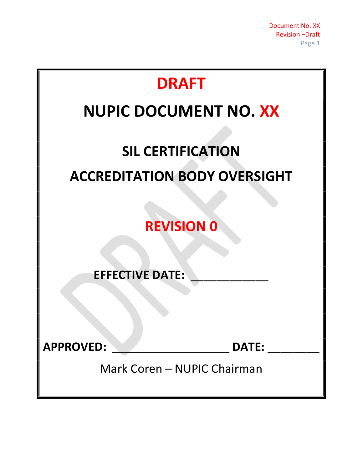| <b>DRAFT</b>                        |
|-------------------------------------|
| <b>NUPIC DOCUMENT NO. XX</b>        |
| <b>SIL CERTIFICATION</b>            |
| <b>ACCREDITATION BODY OVERSIGHT</b> |
| <b>REVISION 0</b>                   |
| <b>EFFECTIVE DATE:</b>              |
| <b>APPROVED:</b><br><b>DATE:</b>    |
| Mark Coren - NUPIC Chairman         |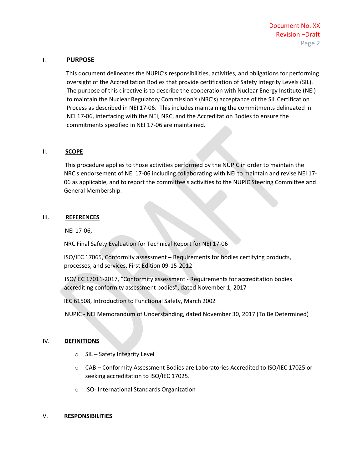## I. PURPOSE

 This document delineates the NUPIC's responsibilities, activities, and obligations for performing oversight of the Accreditation Bodies that provide certification of Safety Integrity Levels (SIL). The purpose of this directive is to describe the cooperation with Nuclear Energy Institute (NEI) to maintain the Nuclear Regulatory Commission's (NRC's) acceptance of the SIL Certification Process as described in NEI 17-06. This includes maintaining the commitments delineated in NEI 17-06, interfacing with the NEI, NRC, and the Accreditation Bodies to ensure the commitments specified in NEI 17-06 are maintained.

## II. **SCOPE**

 This procedure applies to those activities performed by the NUPIC in order to maintain the NRC's endorsement of NEI 17-06 including collaborating with NEI to maintain and revise NEI 17- 06 as applicable, and to report the committee's activities to the NUPIC Steering Committee and General Membership.

## III. REFERENCES

NEI 17-06,

NRC Final Safety Evaluation for Technical Report for NEI 17-06

ISO/IEC 17065, Conformity assessment – Requirements for bodies certifying products, processes, and services. First Edition 09-15-2012

 ISO/IEC 17011-2017, "Conformity assessment - Requirements for accreditation bodies accrediting conformity assessment bodies", dated November 1, 2017

IEC 61508, Introduction to Functional Safety, March 2002

NUPIC - NEI Memorandum of Understanding, dated November 30, 2017 (To Be Determined)

#### IV. DEFINITIONS

- o SIL Safety Integrity Level
- o CAB Conformity Assessment Bodies are Laboratories Accredited to ISO/IEC 17025 or seeking accreditation to ISO/IEC 17025.
- o ISO- International Standards Organization

#### V. RESPONSIBILITIES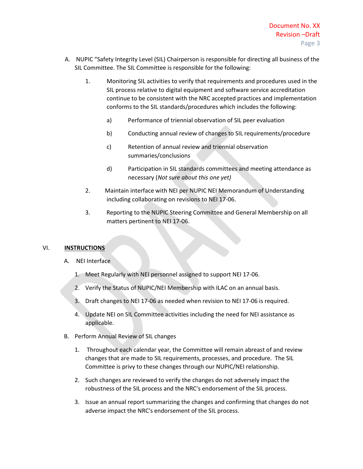- A. NUPIC "Safety Integrity Level (SIL) Chairperson is responsible for directing all business of the SIL Committee. The SIL Committee is responsible for the following:
	- 1. Monitoring SIL activities to verify that requirements and procedures used in the SIL process relative to digital equipment and software service accreditation continue to be consistent with the NRC accepted practices and implementation conforms to the SIL standards/procedures which includes the following:
		- a) Performance of triennial observation of SIL peer evaluation
		- b) Conducting annual review of changes to SIL requirements/procedure
		- c) Retention of annual review and triennial observation summaries/conclusions
		- d) Participation in SIL standards committees and meeting attendance as necessary (Not sure about this one yet)
	- 2. Maintain interface with NEI per NUPIC NEI Memorandum of Understanding including collaborating on revisions to NEI 17-06.
	- 3. Reporting to the NUPIC Steering Committee and General Membership on all matters pertinent to NEI 17-06.

# VI. INSTRUCTIONS

- A. NEI Interface
	- 1. Meet Regularly with NEI personnel assigned to support NEI 17-06.
	- 2. Verify the Status of NUPIC/NEI Membership with ILAC on an annual basis.
	- 3. Draft changes to NEI 17-06 as needed when revision to NEI 17-06 is required.
	- 4. Update NEI on SIL Committee activities including the need for NEI assistance as applicable.
- B. Perform Annual Review of SIL changes
	- 1. Throughout each calendar year, the Committee will remain abreast of and review changes that are made to SIL requirements, processes, and procedure. The SIL Committee is privy to these changes through our NUPIC/NEI relationship.
	- 2. Such changes are reviewed to verify the changes do not adversely impact the robustness of the SIL process and the NRC's endorsement of the SIL process.
	- 3. Issue an annual report summarizing the changes and confirming that changes do not adverse impact the NRC's endorsement of the SIL process.